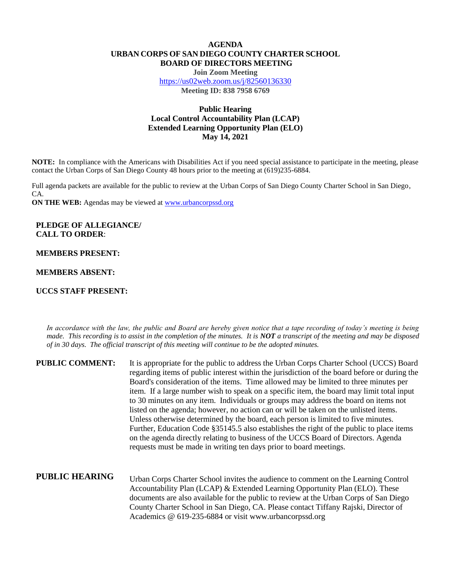## **AGENDA URBAN CORPS OF SAN DIEGO COUNTY CHARTER SCHOOL BOARD OF DIRECTORS MEETING**

**Join Zoom Meeting** <https://us02web.zoom.us/j/82560136330> **Meeting ID: 838 7958 6769**

# **Public Hearing Local Control Accountability Plan (LCAP) Extended Learning Opportunity Plan (ELO) May 14, 2021**

**NOTE:** In compliance with the Americans with Disabilities Act if you need special assistance to participate in the meeting, please contact the Urban Corps of San Diego County 48 hours prior to the meeting at (619)235-6884.

Full agenda packets are available for the public to review at the Urban Corps of San Diego County Charter School in San Diego, CA.

**ON THE WEB:** Agendas may be viewed at **www.urbancorpssd.org** 

# **PLEDGE OF ALLEGIANCE/ CALL TO ORDER**:

### **MEMBERS PRESENT:**

### **MEMBERS ABSENT:**

#### **UCCS STAFF PRESENT:**

*In accordance with the law, the public and Board are hereby given notice that a tape recording of today's meeting is being made. This recording is to assist in the completion of the minutes. It is NOT a transcript of the meeting and may be disposed of in 30 days. The official transcript of this meeting will continue to be the adopted minutes.*

| <b>PUBLIC COMMENT:</b> | It is appropriate for the public to address the Urban Corps Charter School (UCCS) Board<br>regarding items of public interest within the jurisdiction of the board before or during the<br>Board's consideration of the items. Time allowed may be limited to three minutes per<br>item. If a large number wish to speak on a specific item, the board may limit total input<br>to 30 minutes on any item. Individuals or groups may address the board on items not<br>listed on the agenda; however, no action can or will be taken on the unlisted items.<br>Unless otherwise determined by the board, each person is limited to five minutes.<br>Further, Education Code §35145.5 also establishes the right of the public to place items<br>on the agenda directly relating to business of the UCCS Board of Directors. Agenda<br>requests must be made in writing ten days prior to board meetings. |
|------------------------|----------------------------------------------------------------------------------------------------------------------------------------------------------------------------------------------------------------------------------------------------------------------------------------------------------------------------------------------------------------------------------------------------------------------------------------------------------------------------------------------------------------------------------------------------------------------------------------------------------------------------------------------------------------------------------------------------------------------------------------------------------------------------------------------------------------------------------------------------------------------------------------------------------|
| <b>PUBLIC HEARING</b>  | Urban Corps Charter School invites the audience to comment on the Learning Control<br>Accountability Plan (LCAP) & Extended Learning Opportunity Plan (ELO). These<br>documents are also available for the public to review at the Urban Corps of San Diego<br>County Charter School in San Diego, CA. Please contact Tiffany Rajski, Director of<br>Academics @ 619-235-6884 or visit www.urbancorpssd.org                                                                                                                                                                                                                                                                                                                                                                                                                                                                                              |